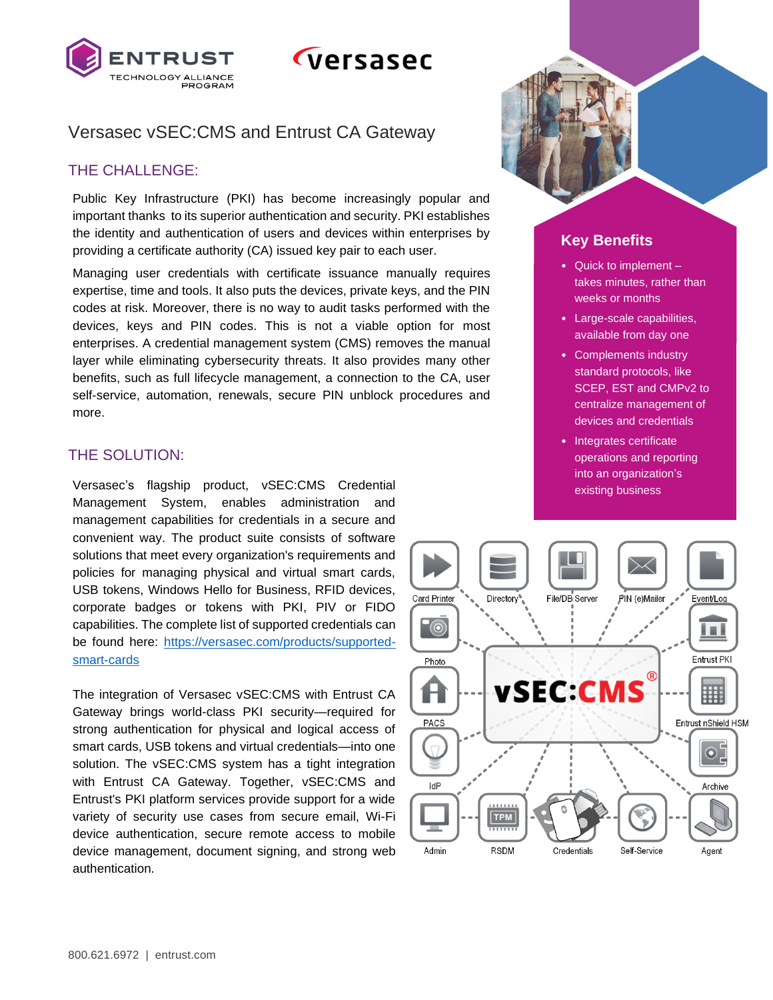

# *Cversasec*

## Versasec vSEC:CMS and Entrust CA Gateway

### THE CHALLENGE:

Public Key Infrastructure (PKI) has become increasingly popular and important thanks to its superior authentication and security. PKI establishes the identity and authentication of users and devices within enterprises by providing a certificate authority (CA) issued key pair to each user.

Managing user credentials with certificate issuance manually requires expertise, time and tools. It also puts the devices, private keys, and the PIN codes at risk. Moreover, there is no way to audit tasks performed with the devices, keys and PIN codes. This is not a viable option for most enterprises. A credential management system (CMS) removes the manual layer while eliminating cybersecurity threats. It also provides many other benefits, such as full lifecycle management, a connection to the CA, user self-service, automation, renewals, secure PIN unblock procedures and more.

## THE SOLUTION:

Versasec's flagship product, vSEC:CMS Credential existing business existing business Management System, enables administration and management capabilities for credentials in a secure and convenient way. The product suite consists of software solutions that meet every organization's requirements and policies for managing physical and virtual smart cards, USB tokens, Windows Hello for Business, RFID devices, corporate badges or tokens with PKI, PIV or FIDO capabilities. The complete list of supported credentials can be found here: [https://versasec.com/products/supported](https://versasec.com/products/supported-smart-cards)[smart-cards](https://versasec.com/products/supported-smart-cards)

The integration of Versasec vSEC:CMS with Entrust CA Gateway brings world-class PKI security—required for strong authentication for physical and logical access of smart cards, USB tokens and virtual credentials—into one solution. The vSEC:CMS system has a tight integration with Entrust CA Gateway. Together, vSEC:CMS and Entrust's PKI platform services provide support for a wide variety of security use cases from secure email, Wi-Fi device authentication, secure remote access to mobile device management, document signing, and strong web authentication.

## **Key Benefits**

- Quick to implement takes minutes, rather than weeks or months
- Large-scale capabilities, available from day one
- Complements industry standard protocols, like SCEP, EST and CMPv2 to centralize management of devices and credentials
- Integrates certificate operations and reporting into an organization's